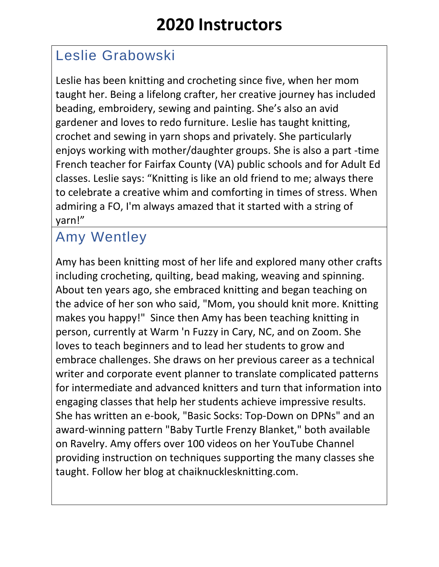## Leslie Grabowski

Leslie has been knitting and crocheting since five, when her mom taught her. Being a lifelong crafter, her creative journey has included beading, embroidery, sewing and painting. She's also an avid gardener and loves to redo furniture. Leslie has taught knitting, crochet and sewing in yarn shops and privately. She particularly enjoys working with mother/daughter groups. She is also a part -time French teacher for Fairfax County (VA) public schools and for Adult Ed classes. Leslie says: "Knitting is like an old friend to me; always there to celebrate a creative whim and comforting in times of stress. When admiring a FO, I'm always amazed that it started with a string of yarn!"

## Amy Wentley

Amy has been knitting most of her life and explored many other crafts including crocheting, quilting, bead making, weaving and spinning. About ten years ago, she embraced knitting and began teaching on the advice of her son who said, "Mom, you should knit more. Knitting makes you happy!" Since then Amy has been teaching knitting in person, currently at Warm 'n Fuzzy in Cary, NC, and on Zoom. She loves to teach beginners and to lead her students to grow and embrace challenges. She draws on her previous career as a technical writer and corporate event planner to translate complicated patterns for intermediate and advanced knitters and turn that information into engaging classes that help her students achieve impressive results. She has written an e-book, "Basic Socks: Top-Down on DPNs" and an award-winning pattern "Baby Turtle Frenzy Blanket," both available on Ravelry. Amy offers over 100 videos on her YouTube Channel providing instruction on techniques supporting the many classes she taught. Follow her blog at chaiknucklesknitting.com.